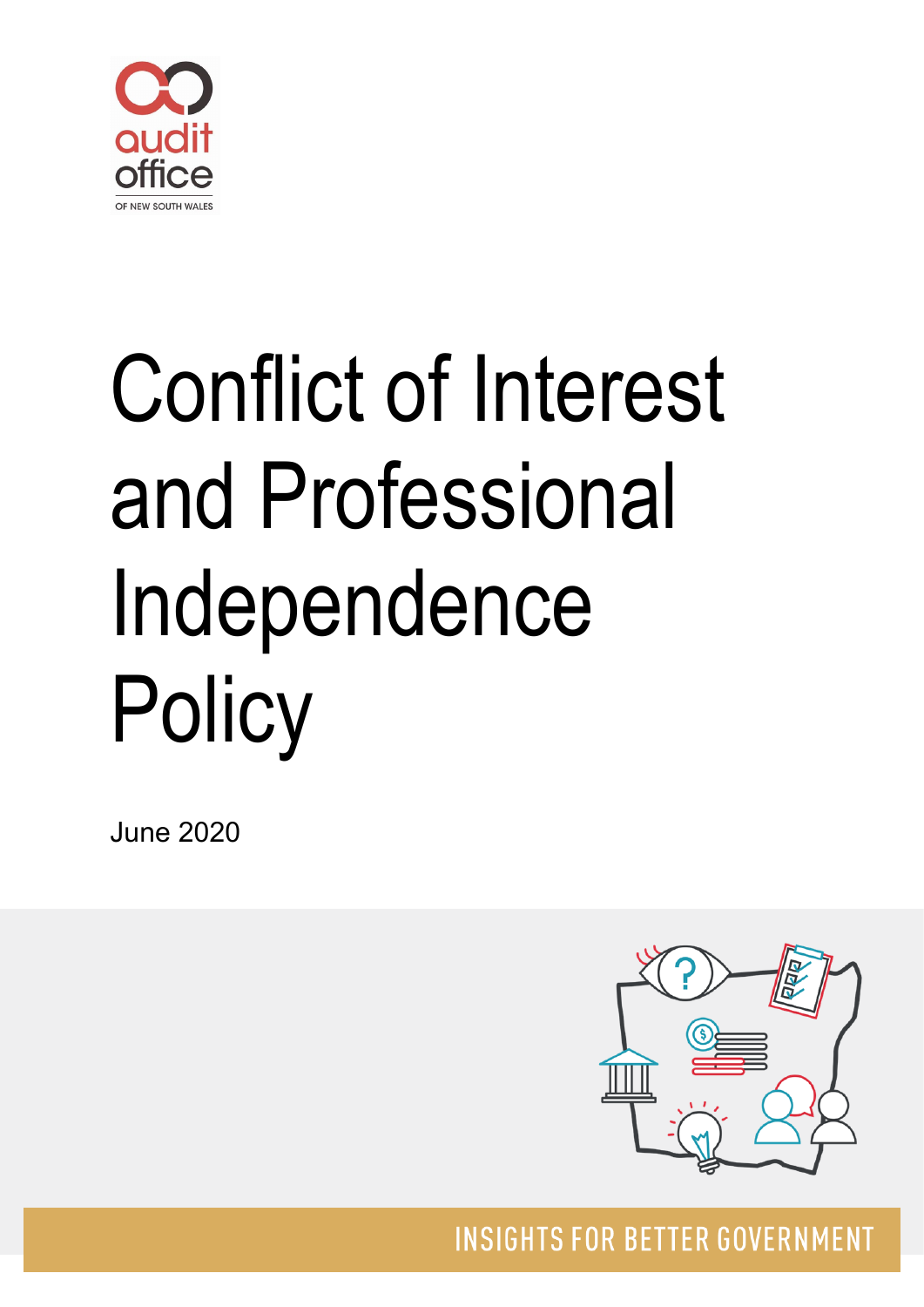

# Conflict of Interest and Professional Independence **Policy**

June 2020



**INSIGHTS FOR BETTER GOVERNMENT**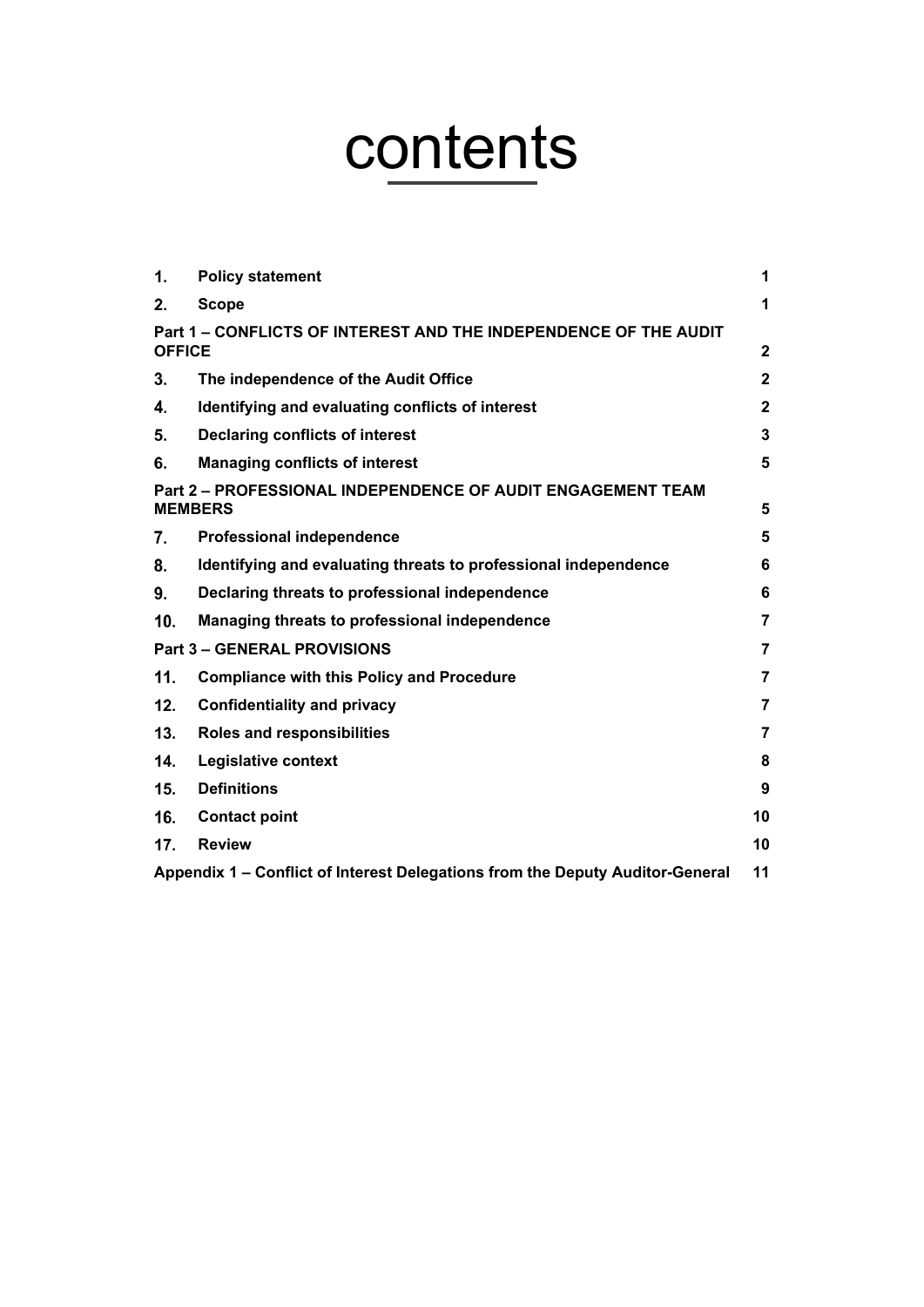# contents

| 1.                                                                            | <b>Policy statement</b>                                                       | 1              |
|-------------------------------------------------------------------------------|-------------------------------------------------------------------------------|----------------|
| 2.                                                                            | <b>Scope</b>                                                                  | 1              |
| <b>OFFICE</b>                                                                 | Part 1 – CONFLICTS OF INTEREST AND THE INDEPENDENCE OF THE AUDIT              | $\mathbf{2}$   |
| 3.                                                                            | The independence of the Audit Office                                          | $\mathbf{2}$   |
| 4.                                                                            | Identifying and evaluating conflicts of interest                              | $\mathbf{2}$   |
| 5.                                                                            | <b>Declaring conflicts of interest</b>                                        | 3              |
| 6.                                                                            | <b>Managing conflicts of interest</b>                                         | 5              |
| Part 2 - PROFESSIONAL INDEPENDENCE OF AUDIT ENGAGEMENT TEAM<br><b>MEMBERS</b> |                                                                               |                |
| 7.                                                                            | <b>Professional independence</b>                                              | 5              |
| 8.                                                                            | Identifying and evaluating threats to professional independence               | 6              |
| 9.                                                                            | Declaring threats to professional independence                                | 6              |
| 10.                                                                           | Managing threats to professional independence                                 | 7              |
| <b>Part 3 – GENERAL PROVISIONS</b>                                            |                                                                               |                |
| 11.                                                                           | <b>Compliance with this Policy and Procedure</b>                              | 7              |
| 12.                                                                           | <b>Confidentiality and privacy</b>                                            | $\overline{7}$ |
| 13.                                                                           | Roles and responsibilities                                                    | $\overline{7}$ |
| 14.                                                                           | Legislative context                                                           | 8              |
| 15.                                                                           | <b>Definitions</b>                                                            | 9              |
| 16.                                                                           | <b>Contact point</b>                                                          | 10             |
| 17.                                                                           | <b>Review</b>                                                                 | 10             |
|                                                                               | Appendix 1 - Conflict of Interest Delegations from the Deputy Auditor-General | 11             |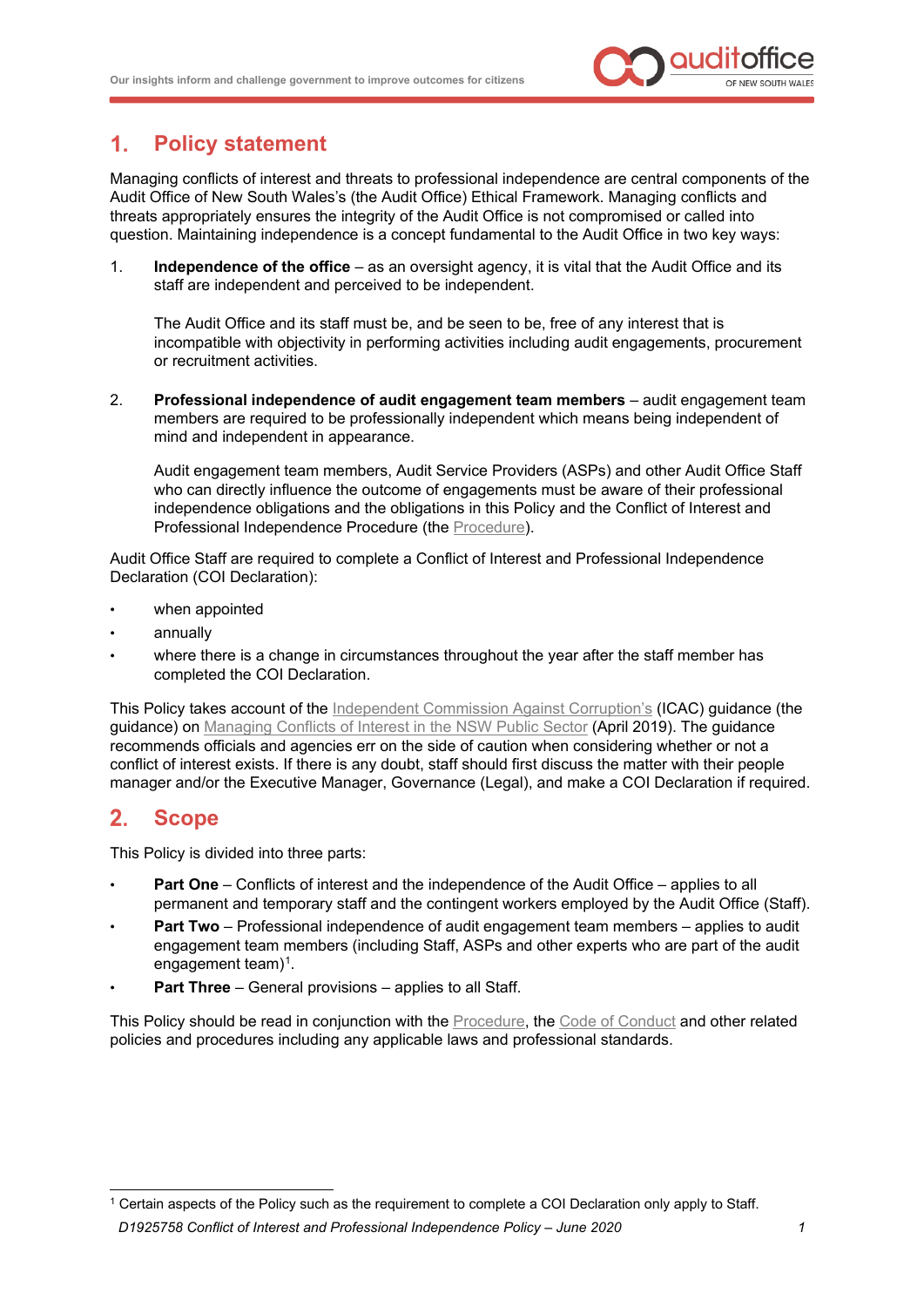

#### <span id="page-2-0"></span> $1.$ **Policy statement**

Managing conflicts of interest and threats to professional independence are central components of the Audit Office of New South Wales's (the Audit Office) Ethical Framework. Managing conflicts and threats appropriately ensures the integrity of the Audit Office is not compromised or called into question. Maintaining independence is a concept fundamental to the Audit Office in two key ways:

1. **Independence of the office** – as an oversight agency, it is vital that the Audit Office and its staff are independent and perceived to be independent.

The Audit Office and its staff must be, and be seen to be, free of any interest that is incompatible with objectivity in performing activities including audit engagements, procurement or recruitment activities.

2. **Professional independence of audit engagement team members** – audit engagement team members are required to be professionally independent which means being independent of mind and independent in appearance.

Audit engagement team members, Audit Service Providers (ASPs) and other Audit Office Staff who can directly influence the outcome of engagements must be aware of their professional independence obligations and the obligations in this Policy and the Conflict of Interest and Professional Independence Procedure (the [Procedure\)](http://alfie/governance/ethical-and-lawful-framework/conflict-of-interest-and-professional-independence-policy/conflict-of-interest-and-professional-independence-procedure/conflict-of-interest-and-professional-independence-procedure).

Audit Office Staff are required to complete a Conflict of Interest and Professional Independence Declaration (COI Declaration):

- when appointed
- annually
- where there is a change in circumstances throughout the year after the staff member has completed the COI Declaration.

This Policy takes account of the [Independent Commission Against Corruption's](https://www.icac.nsw.gov.au/) (ICAC) guidance (the guidance) on [Managing Conflicts of Interest in the NSW Public Sector](https://www.icac.nsw.gov.au/prevention/basic-standards/conflicts-of-interest) (April 2019). The guidance recommends officials and agencies err on the side of caution when considering whether or not a conflict of interest exists. If there is any doubt, staff should first discuss the matter with their people manager and/or the Executive Manager, Governance (Legal), and make a COI Declaration if required.

#### <span id="page-2-1"></span> $2.$ **Scope**

This Policy is divided into three parts:

- **Part One** Conflicts of interest and the independence of the Audit Office applies to all permanent and temporary staff and the contingent workers employed by the Audit Office (Staff).
- **Part Two** Professional independence of audit engagement team members applies to audit engagement team members (including Staff, ASPs and other experts who are part of the audit engagement team $)^1$  $)^1$ .
- Part Three General provisions applies to all Staff.

This Policy should be read in conjunction with the [Procedure,](http://alfie/governance/ethical-and-lawful-framework/conflict-of-interest-and-professional-independence-policy/conflict-of-interest-and-professional-independence-procedure/conflict-of-interest-and-professional-independence-procedure) the [Code of Conduct](http://alfie/Governance/Ethical-and-Lawful-Framework/Code-of-Conduct) and other related policies and procedures including any applicable laws and professional standards.

<span id="page-2-2"></span>*D1925758 Conflict of Interest and Professional Independence Policy – June 2020 1* <sup>1</sup> Certain aspects of the Policy such as the requirement to complete a COI Declaration only apply to Staff.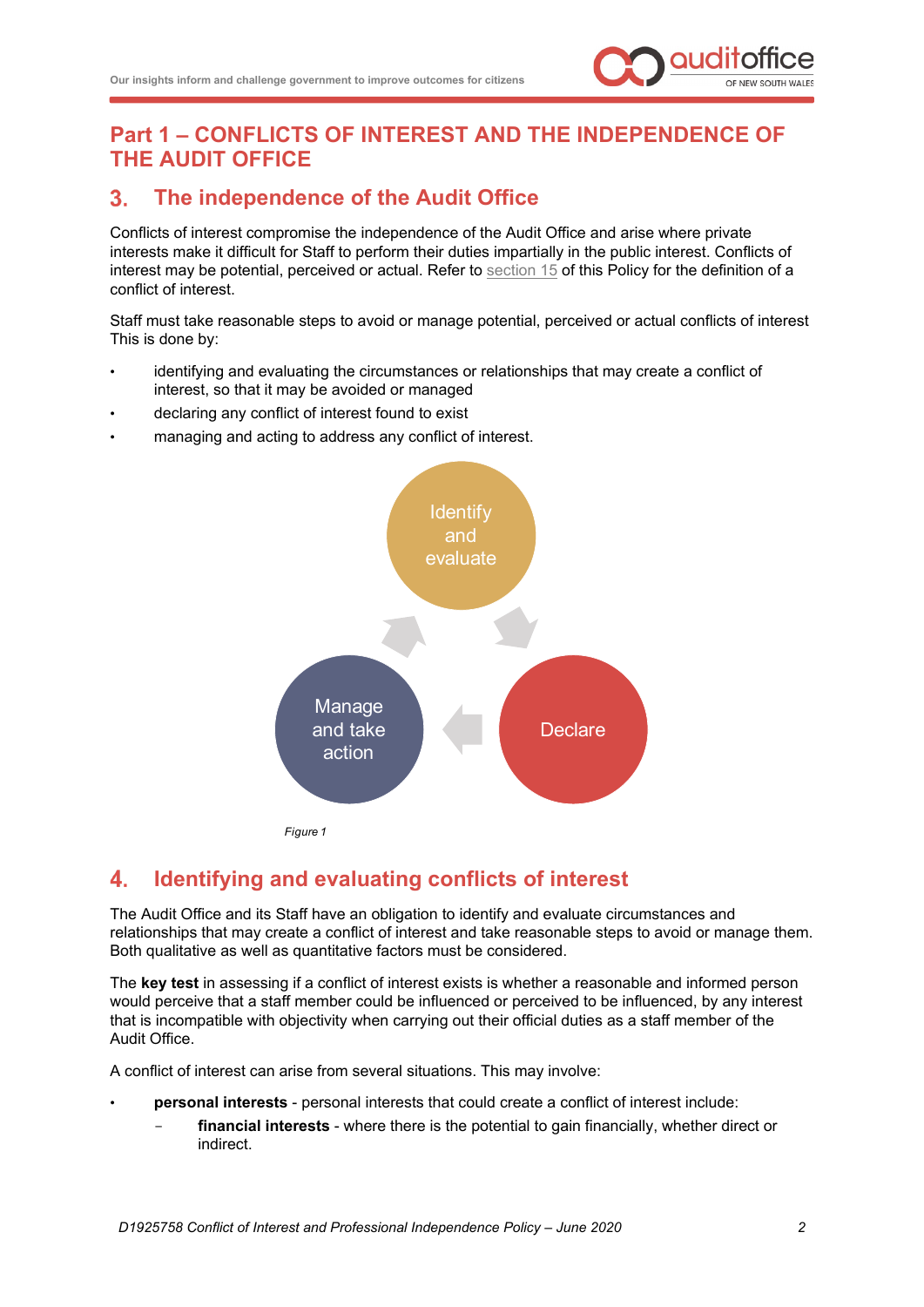

# <span id="page-3-0"></span>**Part 1 – CONFLICTS OF INTEREST AND THE INDEPENDENCE OF THE AUDIT OFFICE**

#### <span id="page-3-1"></span> $3<sub>1</sub>$ **The independence of the Audit Office**

Conflicts of interest compromise the independence of the Audit Office and arise where private interests make it difficult for Staff to perform their duties impartially in the public interest. Conflicts of interest may be potential, perceived or actual. Refer to [section 15](#page-10-0) of this Policy for the definition of a conflict of interest.

Staff must take reasonable steps to avoid or manage potential, perceived or actual conflicts of interest This is done by:

- identifying and evaluating the circumstances or relationships that may create a conflict of interest, so that it may be avoided or managed
- declaring any conflict of interest found to exist
- managing and acting to address any conflict of interest.

<span id="page-3-3"></span>

#### <span id="page-3-2"></span> $\blacktriangle$ . **Identifying and evaluating conflicts of interest**

The Audit Office and its Staff have an obligation to identify and evaluate circumstances and relationships that may create a conflict of interest and take reasonable steps to avoid or manage them. Both qualitative as well as quantitative factors must be considered.

The **key test** in assessing if a conflict of interest exists is whether a reasonable and informed person would perceive that a staff member could be influenced or perceived to be influenced, by any interest that is incompatible with objectivity when carrying out their official duties as a staff member of the Audit Office.

A conflict of interest can arise from several situations. This may involve:

- **personal interests** personal interests that could create a conflict of interest include:
	- financial interests where there is the potential to gain financially, whether direct or indirect.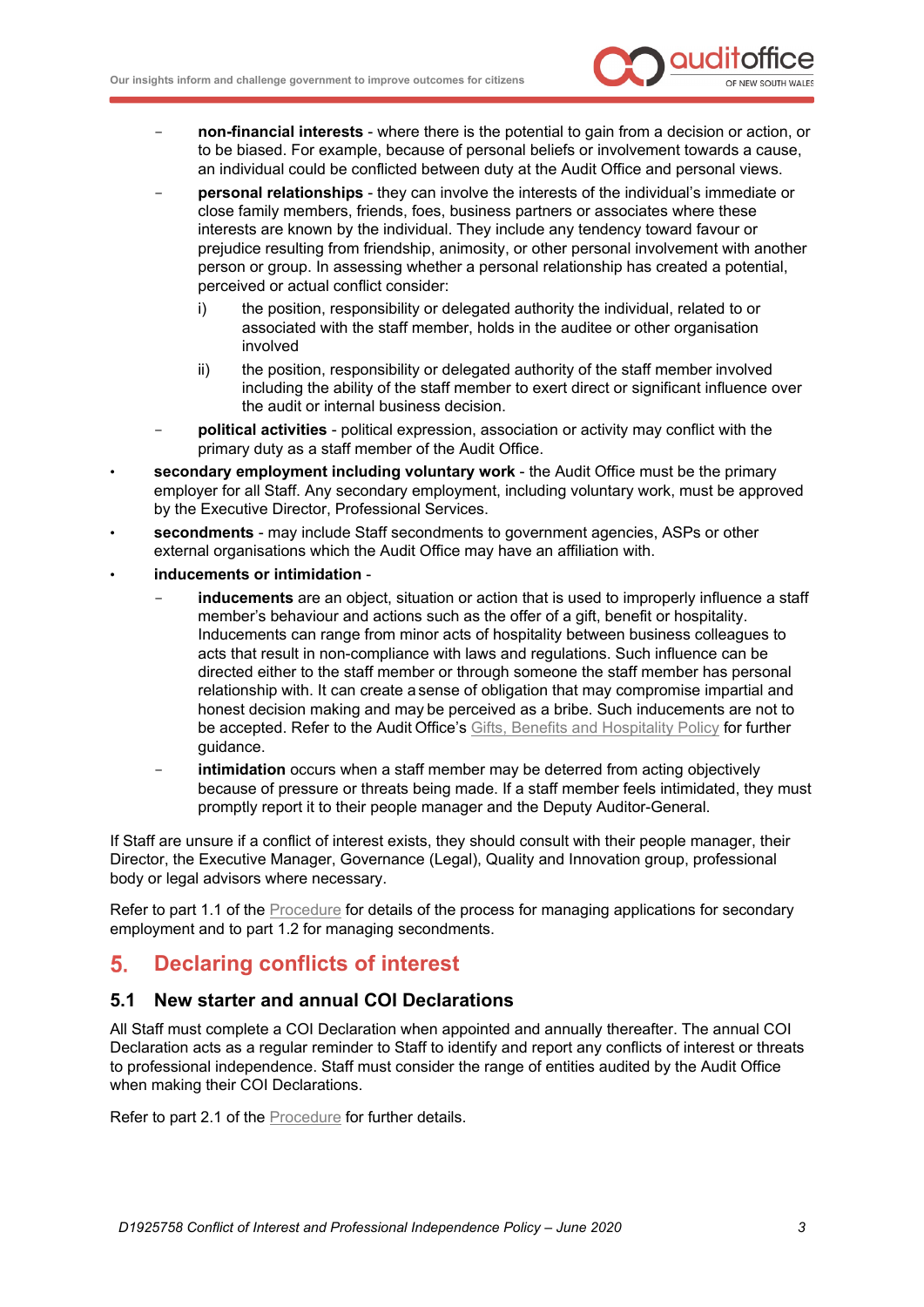

- **non-financial interests** where there is the potential to gain from a decision or action, or to be biased. For example, because of personal beliefs or involvement towards a cause, an individual could be conflicted between duty at the Audit Office and personal views.
- **personal relationships** they can involve the interests of the individual's immediate or close family members, friends, foes, business partners or associates where these interests are known by the individual. They include any tendency toward favour or prejudice resulting from friendship, animosity, or other personal involvement with another person or group. In assessing whether a personal relationship has created a potential, perceived or actual conflict consider:
	- i) the position, responsibility or delegated authority the individual, related to or associated with the staff member, holds in the auditee or other organisation involved
	- ii) the position, responsibility or delegated authority of the staff member involved including the ability of the staff member to exert direct or significant influence over the audit or internal business decision.
- **political activities** political expression, association or activity may conflict with the primary duty as a staff member of the Audit Office.
- **secondary employment including voluntary work** the Audit Office must be the primary employer for all Staff. Any secondary employment, including voluntary work, must be approved by the Executive Director, Professional Services.
- **secondments** may include Staff secondments to government agencies, ASPs or other external organisations which the Audit Office may have an affiliation with.
- **inducements or intimidation**
	- inducements are an object, situation or action that is used to improperly influence a staff member's behaviour and actions such as the offer of a gift, benefit or hospitality. Inducements can range from minor acts of hospitality between business colleagues to acts that result in non-compliance with laws and regulations. Such influence can be directed either to the staff member or through someone the staff member has personal relationship with. It can create a sense of obligation that may compromise impartial and honest decision making and may be perceived as a bribe. Such inducements are not to be accepted. Refer to the Audit Office's [Gifts, Benefits and Hospitality Policy](http://alfie/Governance/Ethical-and-Lawful-Behaviour/Gifts-and-Benefits-Policy) for further guidance.
	- intimidation occurs when a staff member may be deterred from acting objectively because of pressure or threats being made. If a staff member feels intimidated, they must promptly report it to their people manager and the Deputy Auditor-General.

If Staff are unsure if a conflict of interest exists, they should consult with their people manager, their Director, the Executive Manager, Governance (Legal), Quality and Innovation group, professional body or legal advisors where necessary.

Refer to part 1.1 of the [Procedure](http://alfie/governance/ethical-and-lawful-framework/conflict-of-interest-and-professional-independence-policy/conflict-of-interest-and-professional-independence-procedure/conflict-of-interest-and-professional-independence-procedure) for details of the process for managing applications for secondary employment and to part 1.2 for managing secondments.

#### <span id="page-4-0"></span>**Declaring conflicts of interest** 5.

# **5.1 New starter and annual COI Declarations**

All Staff must complete a COI Declaration when appointed and annually thereafter. The annual COI Declaration acts as a regular reminder to Staff to identify and report any conflicts of interest or threats to professional independence. Staff must consider the range of entities audited by the Audit Office when making their COI Declarations.

Refer to part 2.1 of the [Procedure](http://alfie/governance/ethical-and-lawful-framework/conflict-of-interest-and-professional-independence-policy/conflict-of-interest-and-professional-independence-procedure/conflict-of-interest-and-professional-independence-procedure) for further details.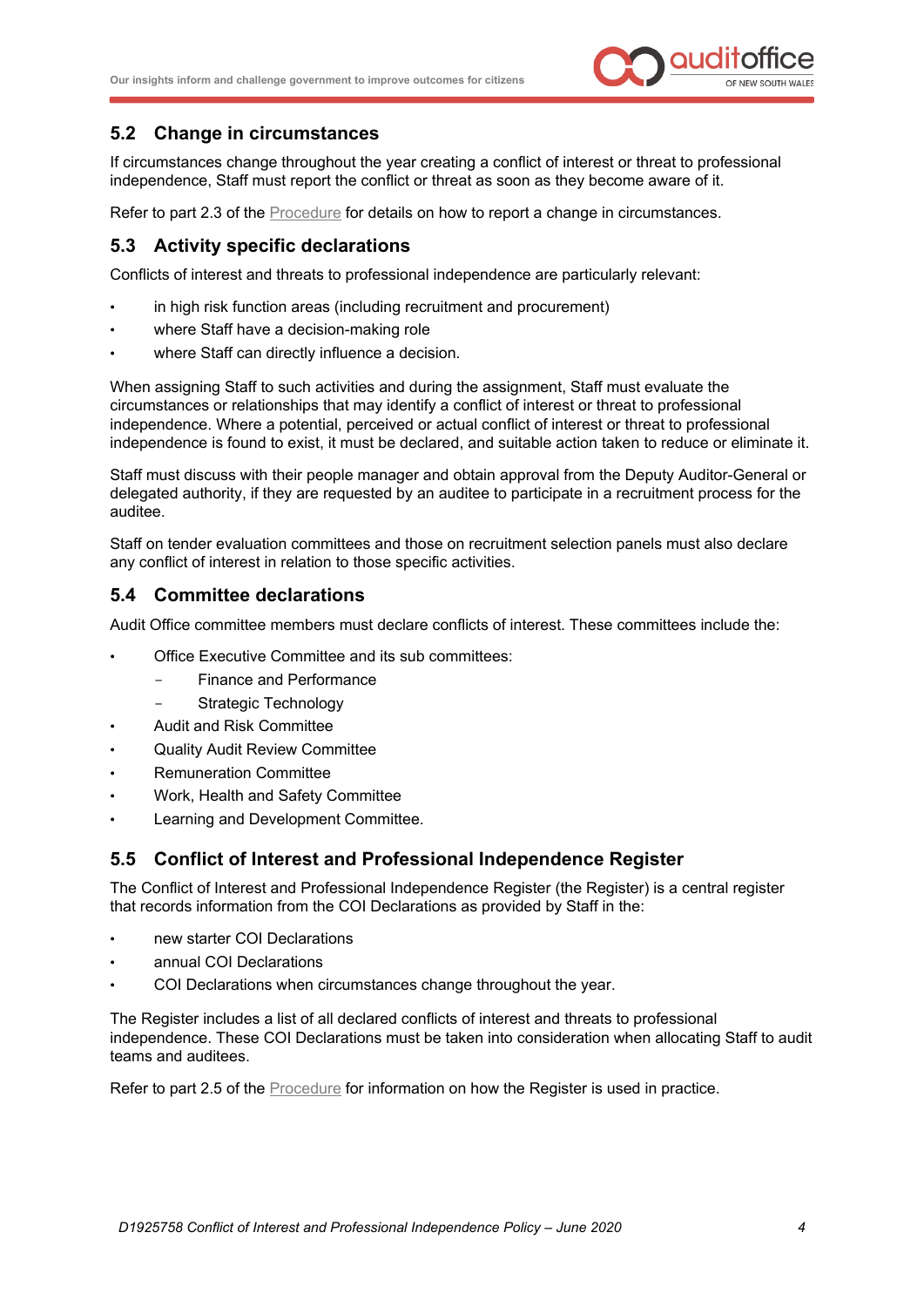

# **5.2 Change in circumstances**

If circumstances change throughout the year creating a conflict of interest or threat to professional independence, Staff must report the conflict or threat as soon as they become aware of it.

Refer to part 2.3 of the [Procedure](http://alfie/governance/ethical-and-lawful-framework/conflict-of-interest-and-professional-independence-policy/conflict-of-interest-and-professional-independence-procedure/conflict-of-interest-and-professional-independence-procedure) for details on how to report a change in circumstances.

# **5.3 Activity specific declarations**

Conflicts of interest and threats to professional independence are particularly relevant:

- in high risk function areas (including recruitment and procurement)
- where Staff have a decision-making role
- where Staff can directly influence a decision.

When assigning Staff to such activities and during the assignment, Staff must evaluate the circumstances or relationships that may identify a conflict of interest or threat to professional independence. Where a potential, perceived or actual conflict of interest or threat to professional independence is found to exist, it must be declared, and suitable action taken to reduce or eliminate it.

Staff must discuss with their people manager and obtain approval from the Deputy Auditor-General or delegated authority, if they are requested by an auditee to participate in a recruitment process for the auditee.

Staff on tender evaluation committees and those on recruitment selection panels must also declare any conflict of interest in relation to those specific activities.

### **5.4 Committee declarations**

Audit Office committee members must declare conflicts of interest. These committees include the:

- Office Executive Committee and its sub committees:
	- Finance and Performance
	- Strategic Technology
- Audit and Risk Committee
- Quality Audit Review Committee
- Remuneration Committee
- Work, Health and Safety Committee
- Learning and Development Committee.

## **5.5 Conflict of Interest and Professional Independence Register**

The Conflict of Interest and Professional Independence Register (the Register) is a central register that records information from the COI Declarations as provided by Staff in the:

- new starter COI Declarations
- annual COI Declarations
- COI Declarations when circumstances change throughout the year.

The Register includes a list of all declared conflicts of interest and threats to professional independence. These COI Declarations must be taken into consideration when allocating Staff to audit teams and auditees.

Refer to part 2.5 of the [Procedure](http://alfie/governance/ethical-and-lawful-framework/conflict-of-interest-and-professional-independence-policy/conflict-of-interest-and-professional-independence-procedure/conflict-of-interest-and-professional-independence-procedure) for information on how the Register is used in practice.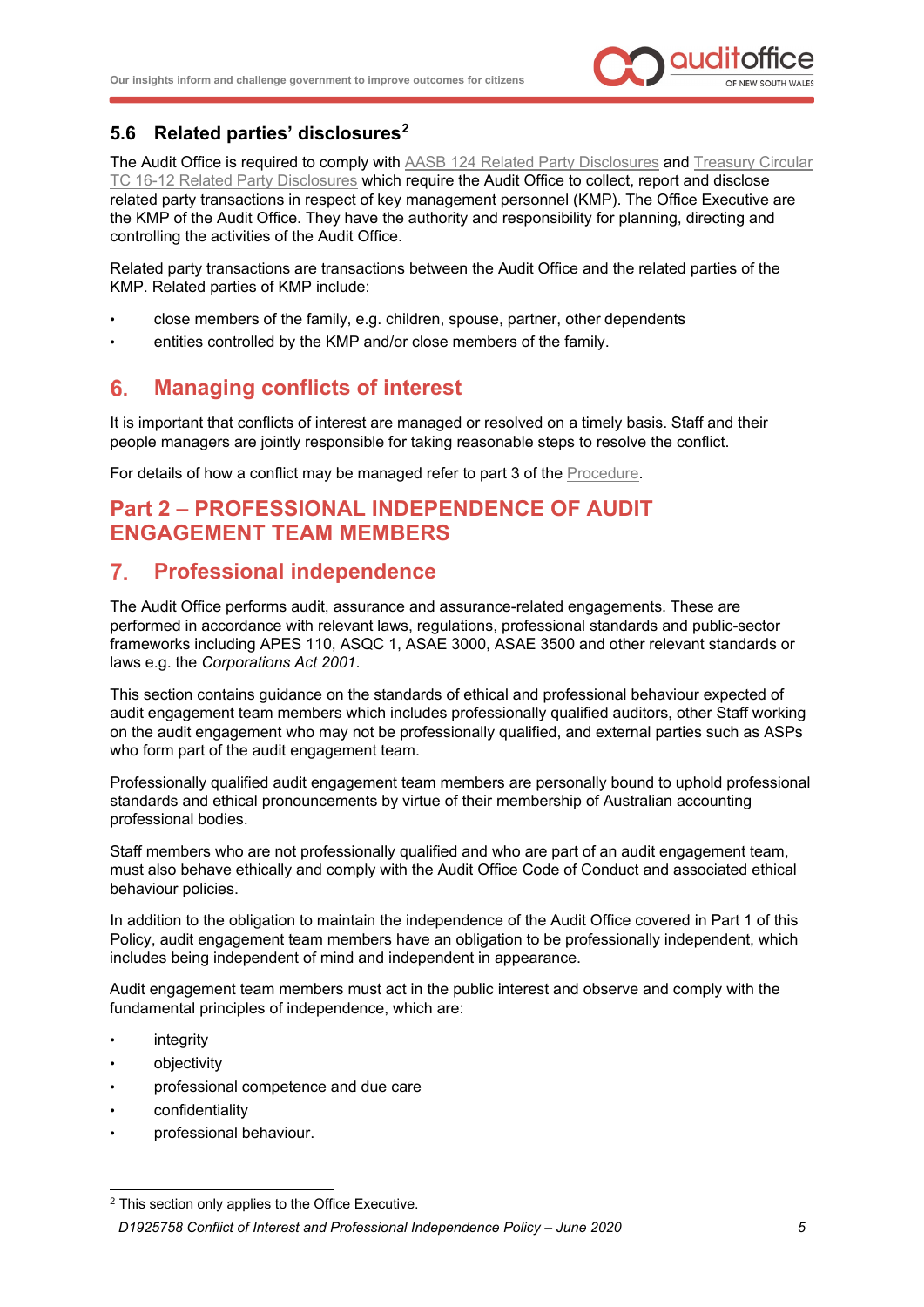

# **5.6 Related parties' disclosures[2](#page-6-3)**

The Audit Office is required to comply with [AASB 124 Related Party Disclosures](https://www.aasb.gov.au/admin/file/content105/c9/AASB124_07-15.pdf) and [Treasury](https://www.olg.nsw.gov.au/sites/default/files/TC16-12_Related_party_disclosures_-pdf.pdf) Circular [TC 16-12 Related Party Disclosures](https://www.olg.nsw.gov.au/sites/default/files/TC16-12_Related_party_disclosures_-pdf.pdf) which require the Audit Office to collect, report and disclose related party transactions in respect of key management personnel (KMP). The Office Executive are the KMP of the Audit Office. They have the authority and responsibility for planning, directing and controlling the activities of the Audit Office.

Related party transactions are transactions between the Audit Office and the related parties of the KMP. Related parties of KMP include:

- close members of the family, e.g. children, spouse, partner, other dependents
- entities controlled by the KMP and/or close members of the family.

#### <span id="page-6-0"></span> $6.$ **Managing conflicts of interest**

It is important that conflicts of interest are managed or resolved on a timely basis. Staff and their people managers are jointly responsible for taking reasonable steps to resolve the conflict.

For details of how a conflict may be managed refer to part 3 of the [Procedure.](http://alfie/governance/ethical-and-lawful-framework/conflict-of-interest-and-professional-independence-policy/conflict-of-interest-and-professional-independence-procedure/conflict-of-interest-and-professional-independence-procedure)

# <span id="page-6-1"></span>**Part 2 – PROFESSIONAL INDEPENDENCE OF AUDIT ENGAGEMENT TEAM MEMBERS**

#### <span id="page-6-2"></span> $7<sup>1</sup>$ **Professional independence**

The Audit Office performs audit, assurance and assurance-related engagements. These are performed in accordance with relevant laws, regulations, professional standards and public-sector frameworks including APES 110, ASQC 1, ASAE 3000, ASAE 3500 and other relevant standards or laws e.g. the *[Corporations Act 2001](https://www.legislation.gov.au/Details/C2018C00031)*.

This section contains guidance on the standards of ethical and professional behaviour expected of audit engagement team members which includes professionally qualified auditors, other Staff working on the audit engagement who may not be professionally qualified, and external parties such as ASPs who form part of the audit engagement team.

Professionally qualified audit engagement team members are personally bound to uphold professional standards and ethical pronouncements by virtue of their membership of Australian accounting professional bodies.

Staff members who are not professionally qualified and who are part of an audit engagement team, must also behave ethically and comply with the Audit Office Code of Conduct and associated ethical behaviour policies.

In addition to the obligation to maintain the independence of the Audit Office covered in Part 1 of this Policy, audit engagement team members have an obligation to be professionally independent, which includes being independent of mind and independent in appearance.

Audit engagement team members must act in the public interest and observe and comply with the fundamental principles of independence, which are:

- **integrity**
- objectivity
- professional competence and due care
- confidentiality
- professional behaviour.

<span id="page-6-3"></span>*D1925758 Conflict of Interest and Professional Independence Policy – June 2020 5* <sup>2</sup> This section only applies to the Office Executive.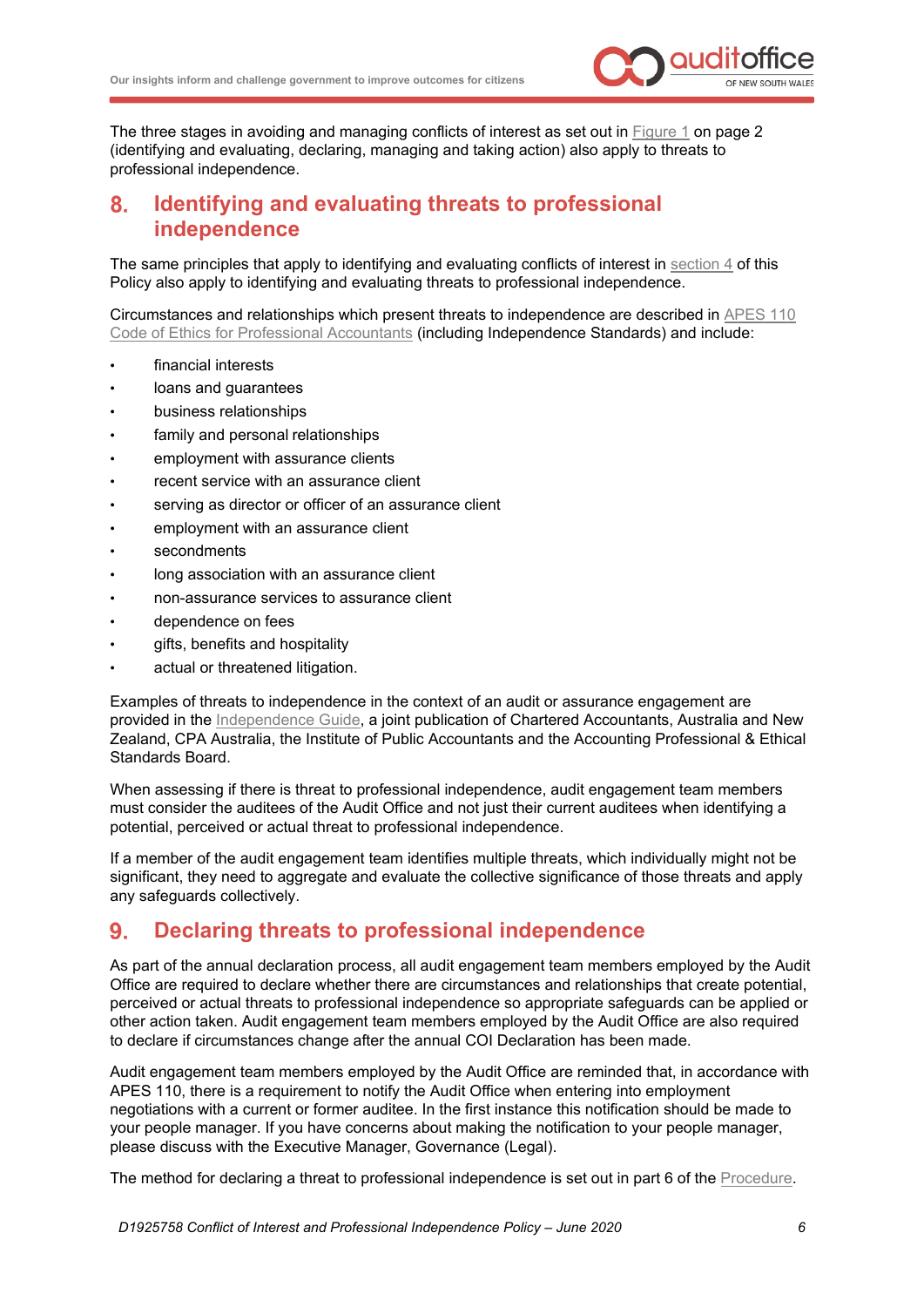

The three stages in avoiding and managing conflicts of interest as set out in [Figure 1](#page-3-3) on page 2 (identifying and evaluating, declaring, managing and taking action) also apply to threats to professional independence.

#### <span id="page-7-0"></span>**Identifying and evaluating threats to professional**  8. **independence**

The same principles that apply to identifying and evaluating conflicts of interest in [section 4](#page-3-2) of this Policy also apply to identifying and evaluating threats to professional independence.

Circumstances and relationships which present threats to independence are described in [APES 110](https://www.apesb.org.au/uploads/home/02112018000152_APES_110_Restructured_Code_Nov_2018.pdf)  [Code of Ethics for Professional Accountants](https://www.apesb.org.au/uploads/home/02112018000152_APES_110_Restructured_Code_Nov_2018.pdf) (including Independence Standards) and include:

- financial interests
- loans and guarantees
- business relationships
- family and personal relationships
- employment with assurance clients
- recent service with an assurance client
- serving as director or officer of an assurance client
- employment with an assurance client
- secondments
- long association with an assurance client
- non-assurance services to assurance client
- dependence on fees
- gifts, benefits and hospitality
- actual or threatened litigation.

Examples of threats to independence in the context of an audit or assurance engagement are provided in the [Independence Guide,](https://apesb.org.au/uploads/home/27052020043807_APESB_Independence_Guide_May_2020.pdf) a joint publication of Chartered Accountants, Australia and New Zealand, CPA Australia, the Institute of Public Accountants and the Accounting Professional & Ethical Standards Board.

When assessing if there is threat to professional independence, audit engagement team members must consider the auditees of the Audit Office and not just their current auditees when identifying a potential, perceived or actual threat to professional independence.

If a member of the audit engagement team identifies multiple threats, which individually might not be significant, they need to aggregate and evaluate the collective significance of those threats and apply any safeguards collectively.

#### <span id="page-7-1"></span>**Declaring threats to professional independence**  $9<sub>1</sub>$

As part of the annual declaration process, all audit engagement team members employed by the Audit Office are required to declare whether there are circumstances and relationships that create potential, perceived or actual threats to professional independence so appropriate safeguards can be applied or other action taken. Audit engagement team members employed by the Audit Office are also required to declare if circumstances change after the annual COI Declaration has been made.

Audit engagement team members employed by the Audit Office are reminded that, in accordance with APES 110, there is a requirement to notify the Audit Office when entering into employment negotiations with a current or former auditee. In the first instance this notification should be made to your people manager. If you have concerns about making the notification to your people manager, please discuss with the Executive Manager, Governance (Legal).

The method for declaring a threat to professional independence is set out in part 6 of the [Procedure.](http://alfie/governance/ethical-and-lawful-framework/conflict-of-interest-and-professional-independence-policy/conflict-of-interest-and-professional-independence-procedure/conflict-of-interest-and-professional-independence-procedure)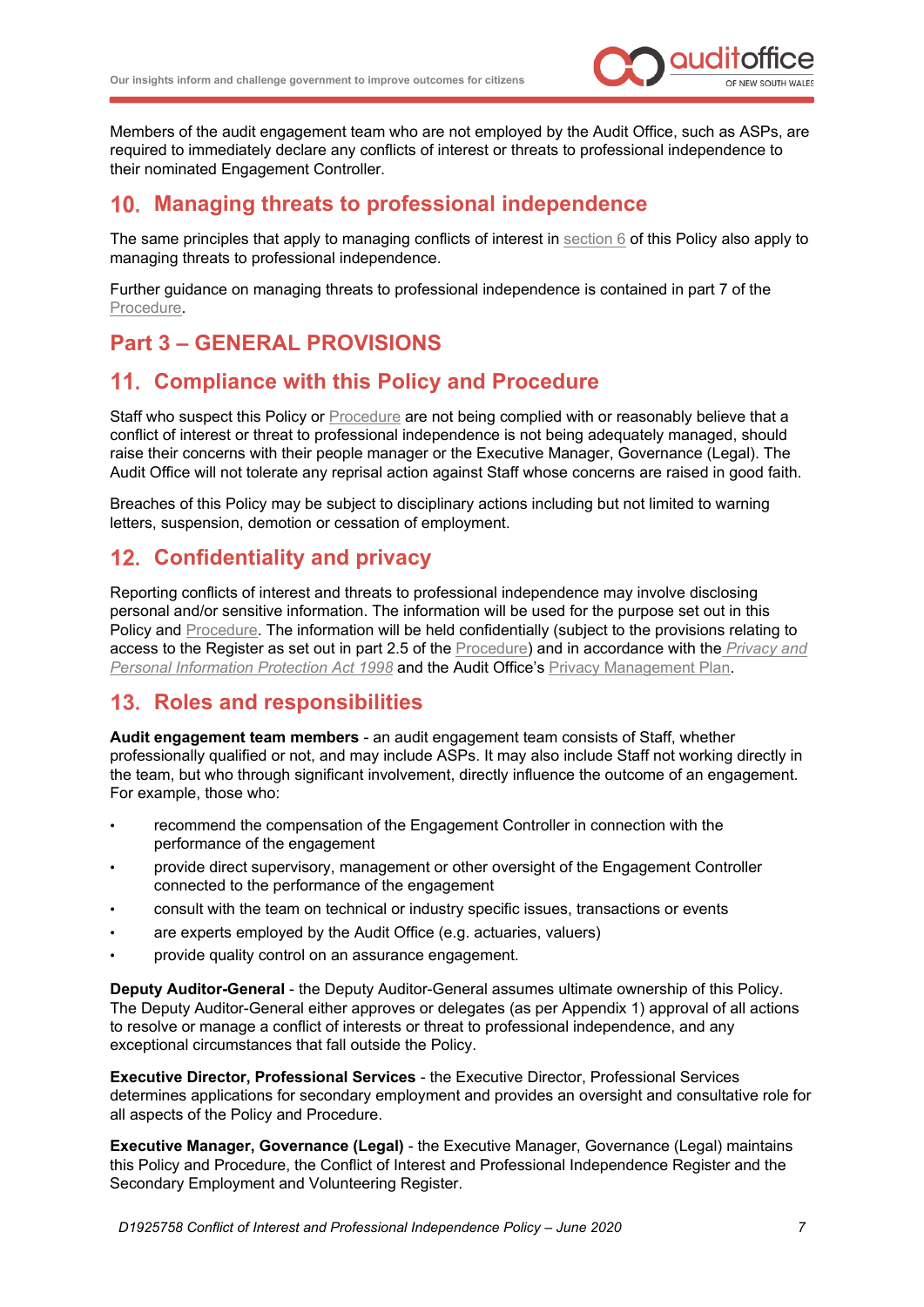

Members of the audit engagement team who are not employed by the Audit Office, such as ASPs, are required to immediately declare any conflicts of interest or threats to professional independence to their nominated Engagement Controller.

# <span id="page-8-0"></span>**Managing threats to professional independence**

The same principles that apply to managing conflicts of interest in [section 6](#page-6-0) of this Policy also apply to managing threats to professional independence.

Further guidance on managing threats to professional independence is contained in part 7 of the [Procedure.](http://alfie/governance/ethical-and-lawful-framework/conflict-of-interest-and-professional-independence-policy/conflict-of-interest-and-professional-independence-procedure/conflict-of-interest-and-professional-independence-procedure)

# <span id="page-8-1"></span>**Part 3 – GENERAL PROVISIONS**

# <span id="page-8-2"></span>**Compliance with this Policy and Procedure**

Staff who suspect this Policy or [Procedure](http://alfie/governance/ethical-and-lawful-framework/conflict-of-interest-and-professional-independence-policy/conflict-of-interest-and-professional-independence-procedure/conflict-of-interest-and-professional-independence-procedure) are not being complied with or reasonably believe that a conflict of interest or threat to professional independence is not being adequately managed, should raise their concerns with their people manager or the Executive Manager, Governance (Legal). The Audit Office will not tolerate any reprisal action against Staff whose concerns are raised in good faith.

Breaches of this Policy may be subject to disciplinary actions including but not limited to warning letters, suspension, demotion or cessation of employment.

# <span id="page-8-3"></span>**Confidentiality and privacy**

Reporting conflicts of interest and threats to professional independence may involve disclosing personal and/or sensitive information. The information will be used for the purpose set out in this Policy and [Procedure.](http://alfie/governance/ethical-and-lawful-framework/conflict-of-interest-and-professional-independence-policy/conflict-of-interest-and-professional-independence-procedure/conflict-of-interest-and-professional-independence-procedure) The information will be held confidentially (subject to the provisions relating to access to the Register as set out in part 2.5 of the [Procedure\)](http://alfie/governance/ethical-and-lawful-framework/conflict-of-interest-and-professional-independence-policy/conflict-of-interest-and-professional-independence-procedure/conflict-of-interest-and-professional-independence-procedure) and in accordance with the *[Privacy and](https://www.legislation.nsw.gov.au/#/view/act/1998/133/part8/sec68)  [Personal Information Protection Act 1998](https://www.legislation.nsw.gov.au/#/view/act/1998/133/part8/sec68)* and the Audit Office's [Privacy Management Plan.](http://alfie/governance/privacy-management-plan/privacy-management-plan/Privacy-Management-Plan)

# <span id="page-8-4"></span>**Roles and responsibilities**

**Audit engagement team members** - an audit engagement team consists of Staff, whether professionally qualified or not, and may include ASPs. It may also include Staff not working directly in the team, but who through significant involvement, directly influence the outcome of an engagement. For example, those who:

- recommend the compensation of the Engagement Controller in connection with the performance of the engagement
- provide direct supervisory, management or other oversight of the Engagement Controller connected to the performance of the engagement
- consult with the team on technical or industry specific issues, transactions or events
- are experts employed by the Audit Office (e.g. actuaries, valuers)
- provide quality control on an assurance engagement.

**Deputy Auditor-General** - the Deputy Auditor-General assumes ultimate ownership of this Policy. The Deputy Auditor-General either approves or delegates (as per Appendix 1) approval of all actions to resolve or manage a conflict of interests or threat to professional independence, and any exceptional circumstances that fall outside the Policy.

**Executive Director, Professional Services** - the Executive Director, Professional Services determines applications for secondary employment and provides an oversight and consultative role for all aspects of the Policy and Procedure.

**Executive Manager, Governance (Legal)** - the Executive Manager, Governance (Legal) maintains this Policy and [Procedure,](http://alfie/governance/ethical-and-lawful-framework/conflict-of-interest-and-professional-independence-policy/conflict-of-interest-and-professional-independence-procedure/conflict-of-interest-and-professional-independence-procedure) the Conflict of Interest and Professional Independence Register and the Secondary Employment and Volunteering Register.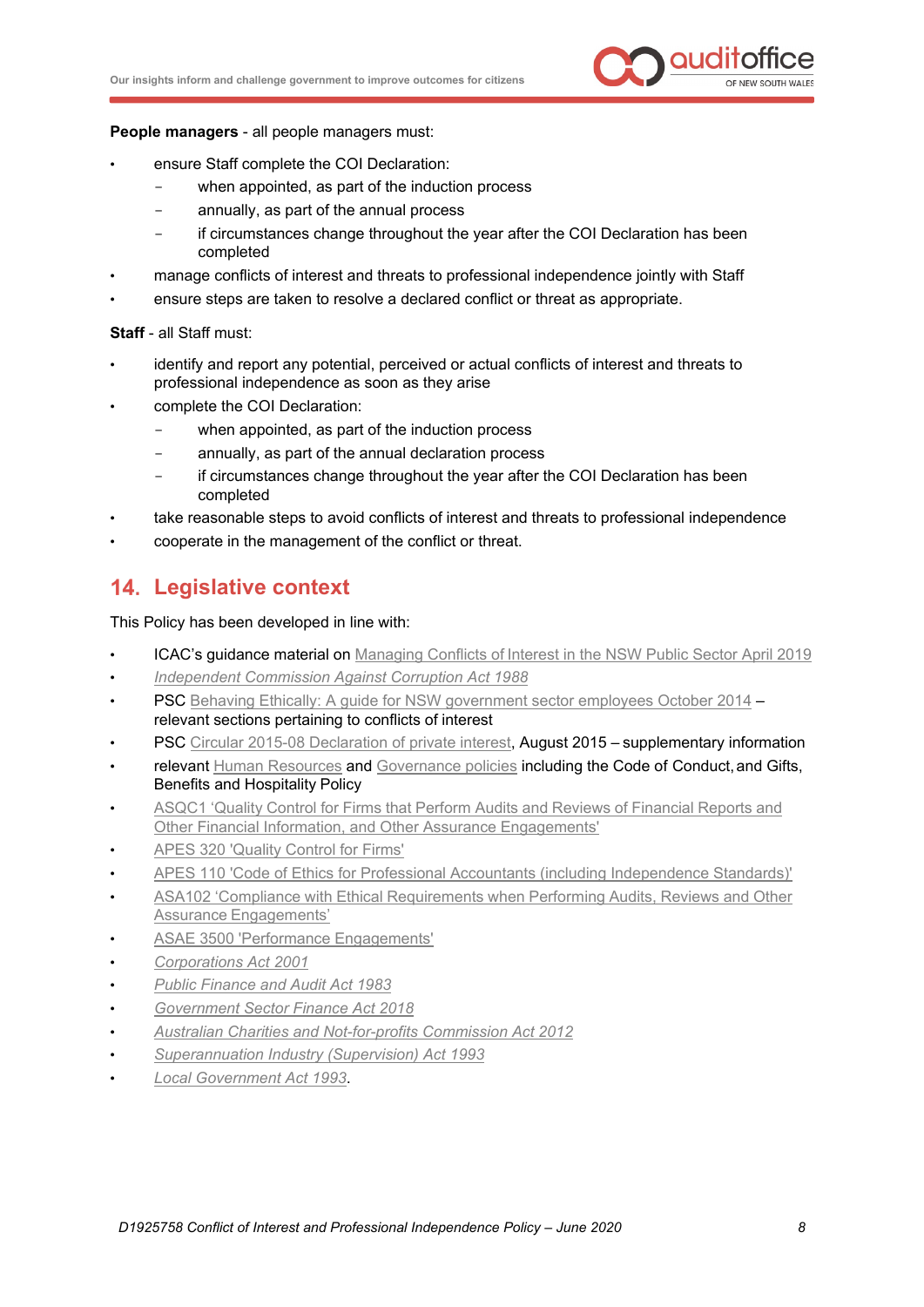

**People managers** - all people managers must:

- ensure Staff complete the COI Declaration:
	- when appointed, as part of the induction process
	- annually, as part of the annual process
	- if circumstances change throughout the year after the COI Declaration has been completed
- manage conflicts of interest and threats to professional independence jointly with Staff
- ensure steps are taken to resolve a declared conflict or threat as appropriate.

**Staff** - all Staff must:

- identify and report any potential, perceived or actual conflicts of interest and threats to professional independence as soon as they arise
- complete the COI Declaration:
	- when appointed, as part of the induction process
	- annually, as part of the annual declaration process
	- if circumstances change throughout the year after the COI Declaration has been completed
- take reasonable steps to avoid conflicts of interest and threats to professional independence
- cooperate in the management of the conflict or threat.

# <span id="page-9-0"></span>**Legislative context**

This Policy has been developed in line with:

- ICAC's guidance material on [Managing Conflicts of](https://www.icac.nsw.gov.au/prevention/basic-standards/conflicts-of-interest) Interest in the NSW Public Sector April 2019
- *[Independent Commission Against Corruption Act](https://www.legislation.nsw.gov.au/%7E/view/act/1988/35) 1988*
- PSC [Behaving Ethically: A guide for NSW government sector employees](https://www.psc.nsw.gov.au/employment-portal/culture-and-ethics/ethics-and-conduct/ethics-conduct) October 2014 relevant sections pertaining to conflicts of interest
- PSC [Circular 2015-08 Declaration of private interest,](https://arp.nsw.gov.au/pscc-2015-08-declaration-private-interests-supplementary-information/) August 2015 supplementary information
- relevant [Human Resources](http://alfie/Corporate-Services/Human-Resources/Employee-Conduct-and-Obligations/Employee-Conduct-and-Obligations/default.aspx) and [Governance policies](http://alfie/Governance/ethical-and-lawful-framework) including the Code of Conduct, and Gifts, Benefits and Hospitality Policy
- ASQC1 'Quality Control for Firms that [Perform Audits](http://www.auasb.gov.au/Pronouncements/Australian-Auditing-Standards.aspx) and Reviews of Financial Reports and [Other Financial Information, and Other Assurance](http://www.auasb.gov.au/Pronouncements/Australian-Auditing-Standards.aspx) Engagements'
- [APES 320 'Quality Control for Firms'](https://www.apesb.org.au/uploads/standards/apesb_standards/06092019065258_APES_320_September_2019.pdf)
- [APES 110 'Code of Ethics for Professional Accountants \(including Independence Standards\)'](https://www.apesb.org.au/uploads/standards/apesb_standards/23072019020745_APES_110_Restructured_Code_Nov_2018.pdf)
- ASA102 'Compliance with Ethical [Requirements](http://www.auasb.gov.au/Pronouncements/Australian-Auditing-Standards.aspx) when Performing Audits, Reviews and Other Assurance [Engagements'](http://www.auasb.gov.au/Pronouncements/Australian-Auditing-Standards.aspx)
- [ASAE 3500 'Performance Engagements'](http://www.auasb.gov.au/Pronouncements/Standards-on-Assurance-Engagements.aspx)
- *[Corporations Act 2001](https://www.legislation.gov.au/Details/C2018C00031)*
- *[Public Finance and Audit Act](https://www.legislation.nsw.gov.au/%7E/view/act/1983/152) 1983*
- *[Government Sector Finance Act 2018](https://legislation.nsw.gov.au/%7E/view/act/2018/55)*
- *[Australian Charities and Not-for-profits Commission Act](https://www.legislation.gov.au/Details/C2012A00168) 2012*
- *[Superannuation Industry \(Supervision\) Act 1993](https://www.legislation.gov.au/Details/C2017C00052)*
- *[Local Government Act 1993](https://www.legislation.nsw.gov.au/%7E/view/act/1993/30/full)*.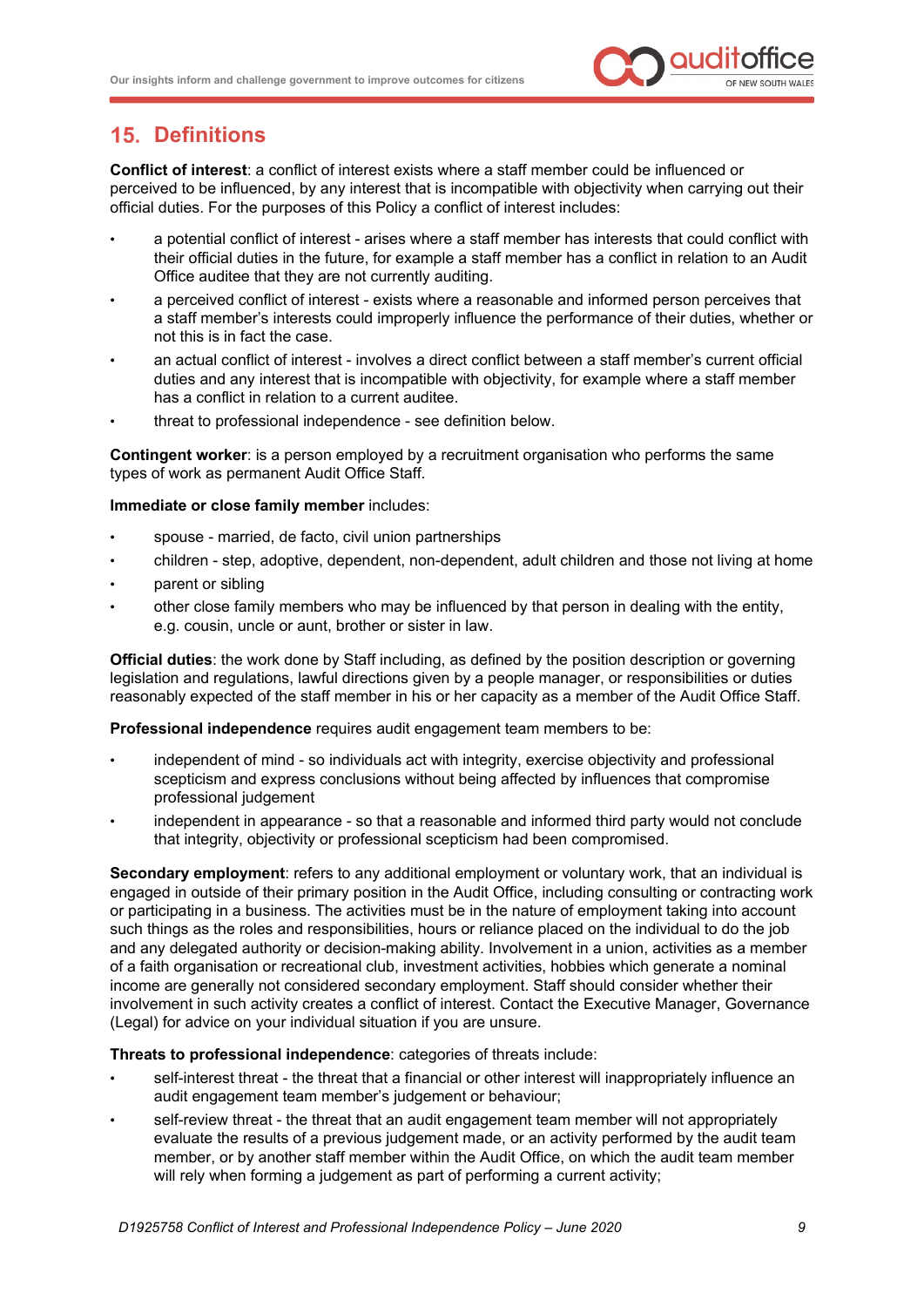

# <span id="page-10-0"></span>**Definitions**

**Conflict of interest**: a conflict of interest exists where a staff member could be influenced or perceived to be influenced, by any interest that is incompatible with objectivity when carrying out their official duties. For the purposes of this Policy a conflict of interest includes:

- a potential conflict of interest arises where a staff member has interests that could conflict with their official duties in the future, for example a staff member has a conflict in relation to an Audit Office auditee that they are not currently auditing.
- a perceived conflict of interest exists where a reasonable and informed person perceives that a staff member's interests could improperly influence the performance of their duties, whether or not this is in fact the case.
- an actual conflict of interest involves a direct conflict between a staff member's current official duties and any interest that is incompatible with objectivity, for example where a staff member has a conflict in relation to a current auditee.
- threat to professional independence see definition below.

**Contingent worker**: is a person employed by a recruitment organisation who performs the same types of work as permanent Audit Office Staff.

#### **Immediate or close family member** includes:

- spouse married, de facto, civil union partnerships
- children step, adoptive, dependent, non-dependent, adult children and those not living at home
- parent or sibling
- other close family members who may be influenced by that person in dealing with the entity, e.g. cousin, uncle or aunt, brother or sister in law.

**Official duties**: the work done by Staff including, as defined by the position description or governing legislation and regulations, lawful directions given by a people manager, or responsibilities or duties reasonably expected of the staff member in his or her capacity as a member of the Audit Office Staff.

**Professional independence** requires audit engagement team members to be:

- independent of mind so individuals act with integrity, exercise objectivity and professional scepticism and express conclusions without being affected by influences that compromise professional judgement
- independent in appearance so that a reasonable and informed third party would not conclude that integrity, objectivity or professional scepticism had been compromised.

**Secondary employment**: refers to any additional employment or voluntary work, that an individual is engaged in outside of their primary position in the Audit Office, including consulting or contracting work or participating in a business. The activities must be in the nature of employment taking into account such things as the roles and responsibilities, hours or reliance placed on the individual to do the job and any delegated authority or decision-making ability. Involvement in a union, activities as a member of a faith organisation or recreational club, investment activities, hobbies which generate a nominal income are generally not considered secondary employment. Staff should consider whether their involvement in such activity creates a conflict of interest. Contact the Executive Manager, Governance (Legal) for advice on your individual situation if you are unsure.

#### **Threats to professional independence**: categories of threats include:

- self-interest threat the threat that a financial or other interest will inappropriately influence an audit engagement team member's judgement or behaviour;
- self-review threat the threat that an audit engagement team member will not appropriately evaluate the results of a previous judgement made, or an activity performed by the audit team member, or by another staff member within the Audit Office, on which the audit team member will rely when forming a judgement as part of performing a current activity;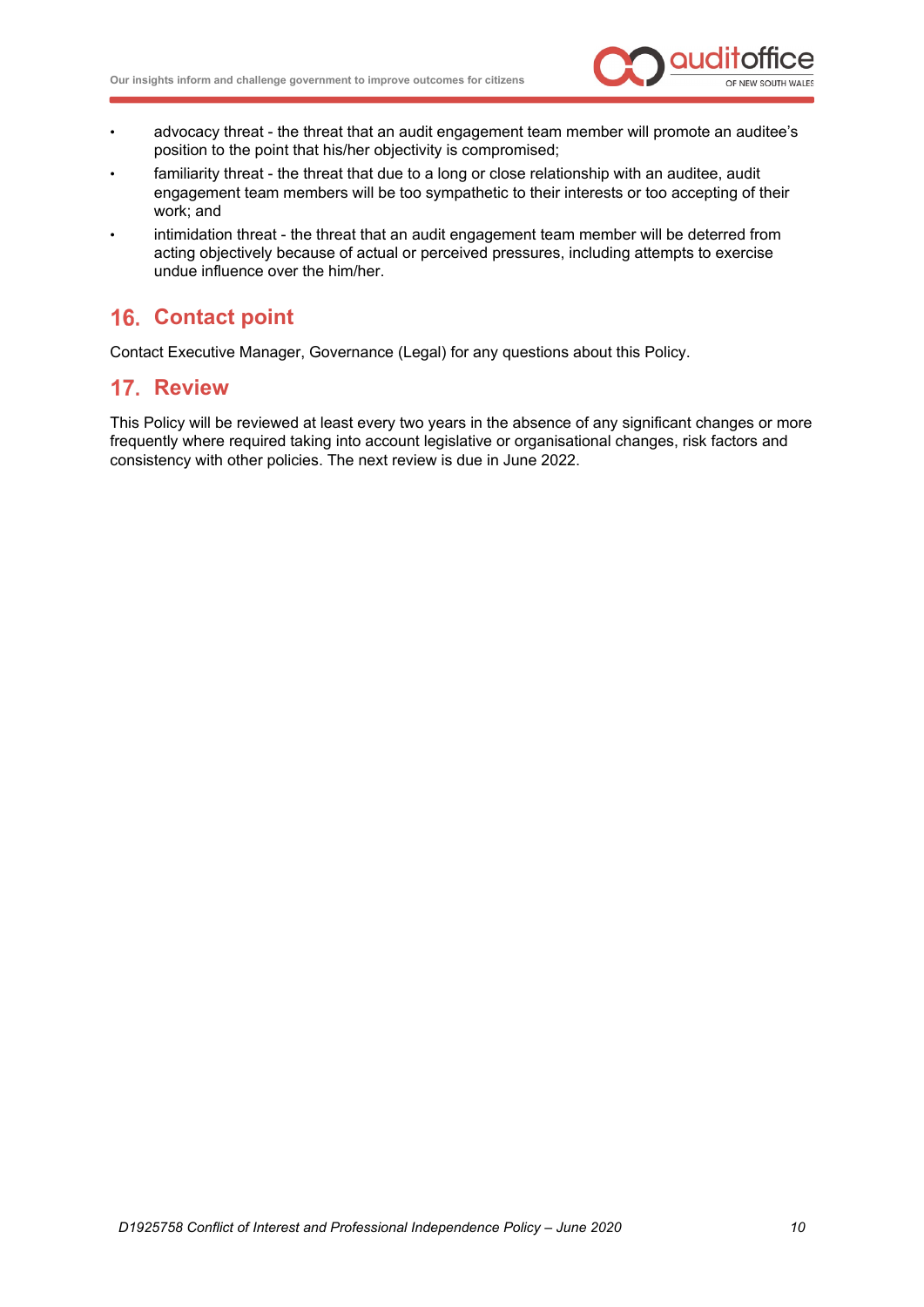

- advocacy threat the threat that an audit engagement team member will promote an auditee's position to the point that his/her objectivity is compromised;
- familiarity threat the threat that due to a long or close relationship with an auditee, audit engagement team members will be too sympathetic to their interests or too accepting of their work; and
- intimidation threat the threat that an audit engagement team member will be deterred from acting objectively because of actual or perceived pressures, including attempts to exercise undue influence over the him/her.

# <span id="page-11-0"></span>16. Contact point

Contact Executive Manager, Governance (Legal) for any questions about this Policy.

# <span id="page-11-1"></span>**17. Review**

This Policy will be reviewed at least every two years in the absence of any significant changes or more frequently where required taking into account legislative or organisational changes, risk factors and consistency with other policies. The next review is due in June 2022.